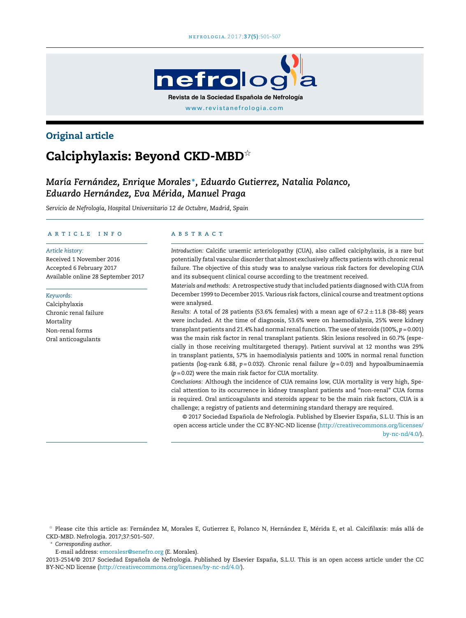

# Original article

# Calciphylaxis: Beyond CKD-MBD $^{\star}$

# *María Fernández, Enrique Morales* <sup>∗</sup> *, Eduardo Gutierrez, Natalia Polanco, Eduardo Hernández, Eva Mérida, Manuel Praga*

*Servicio de Nefrología, Hospital Universitario 12 de Octubre, Madrid, Spain*

#### a r t i c l e i n f o

*Article history:* Received 1 November 2016 Accepted 6 February 2017 Available online 28 September 2017

#### *Keywords:*

Calciphylaxis Chronic renal failure Mortality Non-renal forms Oral anticoagulants

#### A B S T R A C T

*Introduction:* Calcific uraemic arteriolopathy (CUA), also called calciphylaxis, is a rare but potentially fatal vascular disorder that almost exclusively affects patients with chronic renal failure. The objective of this study was to analyse various risk factors for developing CUA and its subsequent clinical course according to the treatment received.

*Materials and methods:* A retrospective study thatincluded patients diagnosed with CUA from December 1999 to December 2015. Various risk factors, clinical course and treatment options were analysed.

*Results:* A total of 28 patients (53.6% females) with a mean age of 67.2 ± 11.8 (38–88) years were included. At the time of diagnosis, 53.6% were on haemodialysis, 25% were kidney transplant patients and 21.4% had normal renalfunction. The use of steroids (100%, *p* = 0.001) was the main risk factor in renal transplant patients. Skin lesions resolved in 60.7% (especially in those receiving multitargeted therapy). Patient survival at 12 months was 29% in transplant patients, 57% in haemodialysis patients and 100% in normal renal function patients (log-rank 6.88, *p* = 0.032). Chronic renal failure (*p* = 0.03) and hypoalbuminaemia (*p* = 0.02) were the main risk factor for CUA mortality.

*Conclusions:* Although the incidence of CUA remains low, CUA mortality is very high, Special attention to its occurrence in kidney transplant patients and "non-renal" CUA forms is required. Oral anticoagulants and steroids appear to be the main risk factors, CUA is a challenge; a registry of patients and determining standard therapy are required.

© 2017 Sociedad Española de Nefrología. Published by Elsevier España, S.L.U. This is an open access article under the CC BY-NC-ND license [\(http://creativecommons.org/licenses/](http://creativecommons.org/licenses/by-nc-nd/4.0/) [by-nc-nd/4.0/\)](http://creativecommons.org/licenses/by-nc-nd/4.0/).

 $^\star$  Please cite this article as: Fernández M, Morales E, Gutierrez E, Polanco N, Hernández E, Mérida E, et al. Calcifilaxis: más allá de CKD-MBD. Nefrologia. 2017;37:501–507.

<sup>∗</sup> *Corresponding author*.

E-mail address: [emoralesr@senefro.org](mailto:emoralesr@senefro.org) (E. Morales).

2013-2514/@ 2017 Sociedad Española de Nefrología. Published by Elsevier España, S.L.U. This is an open access article under the CC BY-NC-ND license (<http://creativecommons.org/licenses/by-nc-nd/4.0/>).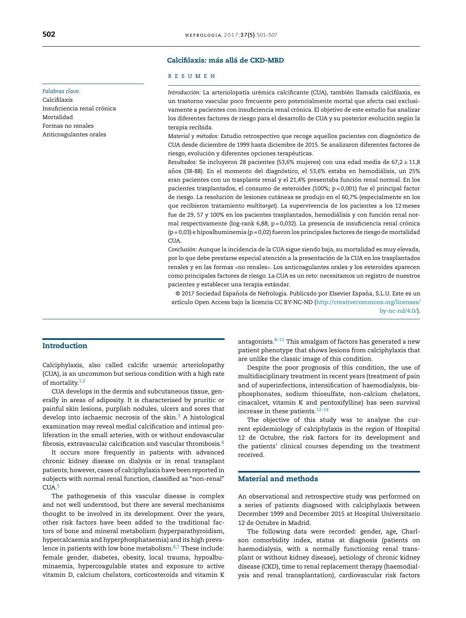## Calcifilaxis: más allá de CKD-MBD

#### r e s u m e n

*Introducción:* La arteriolopatía urémica calcificante (CUA), también llamada calcifilaxis, es un trastorno vascular poco frecuente pero potencialmente mortal que afecta casi exclusivamente a pacientes con insuficiencia renal crónica. El objetivo de este estudio fue analizar los diferentes factores de riesgo para el desarrollo de CUA y su posterior evolución según la terapia recibida.

*Material y métodos:* Estudio retrospectivo que recoge aquellos pacientes con diagnóstico de CUA desde diciembre de 1999 hasta diciembre de 2015. Se analizaron diferentes factores de riesgo, evolución y diferentes opciones terapéuticas.

*Resultados:* Se incluyeron 28 pacientes (53,6% mujeres) con una edad media de 67,2 ± 11,8 años (38-88). En el momento del diagnóstico, el 53,6% estaba en hemodiálisis, un 25% eran pacientes con un trasplante renal y el 21,4% presentaba función renal normal. En los pacientes trasplantados, el consumo de esteroides (100%; p = 0,001) fue el principal factor de riesgo. La resolución de lesiones cutáneas se produjo en el 60,7% (especialmente en los que recibieron tratamiento *multitarget*). La supervivencia de los pacientes a los 12meses fue de 29, 57 y 100% en los pacientes trasplantados, hemodiálisis y con función renal normal respectivamente ( $log$ -rank 6,88; p = 0,032). La presencia de insuficiencia renal crónica  $(p = 0.03)$  e hipoalbuminemia  $(p = 0.02)$  fueron los principales factores de riesgo de mortalidad CU<sub>A</sub>

*Conclusión:* Aunque la incidencia de la CUA sigue siendo baja, su mortalidad es muy elevada, por lo que debe prestarse especial atención a la presentación de la CUA en los trasplantados renales y en las formas «no renales». Los anticoagulantes orales y los esteroides aparecen como principales factores de riesgo. La CUA es un reto: necesitamos un registro de nuestros pacientes y establecer una terapia estándar.

© 2017 Sociedad Española de Nefrología. Publicado por Elsevier España, S.L.U. Este es un artículo Open Access bajo la licencia CC BY-NC-ND [\(http://creativecommons.org/licenses/](http://creativecommons.org/licenses/by-nc-nd/4.0/) [by-nc-nd/4.0/\)](http://creativecommons.org/licenses/by-nc-nd/4.0/).

## Introduction

Calciphylaxis, also called calcific uraemic arteriolopathy (CUA), is an uncommon but serious condition with a high rate of mortality. $1,2$ 

CUA develops in the dermis and subcutaneous tissue, generally in areas of adiposity. It is characterised by pruritic or painful skin lesions, purplish nodules, ulcers and sores that develop into ischaemic necrosis of the skin. $3$  A histological examination may reveal medial calcification and intimal proliferation in the small arteries, with or without endovascular fibrosis, extravascular calcification and vascular thrombosis.[4](#page-6-0)

It occurs more frequently in patients with advanced chronic kidney disease on dialysis or in renal transplant patients; however, cases of calciphylaxis have been reported in subjects with normal renal function, classified as "non-renal" CUA.[5](#page-6-0)

The pathogenesis of this vascular disease is complex and not well understood, but there are several mechanisms thought to be involved in its development. Over the years, other risk factors have been added to the traditional factors of bone and mineral metabolism (hyperparathyroidism, hypercalcaemia and hyperphosphataemia) and its high prevalence in patients with low bone metabolism. $6,7$  These include: female gender, diabetes, obesity, local trauma, hypoalbuminaemia, hypercoagulable states and exposure to active vitamin D, calcium chelators, corticosteroids and vitamin K antagonists. $8-11$  This amalgam of factors has generated a new patient phenotype that shows lesions from calciphylaxis that are unlike the classic image of this condition.

Despite the poor prognosis of this condition, the use of multidisciplinary treatment in recent years (treatment of pain and of superinfections, intensification of haemodialysis, bisphosphonates, sodium thiosulfate, non-calcium chelators, cinacalcet, vitamin K and pentoxifylline) has seen survival increase in these patients.[12–14](#page-6-0)

The objective of this study was to analyse the current epidemiology of calciphylaxis in the region of Hospital 12 de Octubre, the risk factors for its development and the patients' clinical courses depending on the treatment received.

# Material and methods

An observational and retrospective study was performed on a series of patients diagnosed with calciphylaxis between December 1999 and December 2015 at Hospital Universitario 12 de Octubre in Madrid.

The following data were recorded: gender, age, Charlson comorbidity index, status at diagnosis (patients on haemodialysis, with a normally functioning renal transplant or without kidney disease), aetiology of chronic kidney disease (CKD), time to renal replacement therapy (haemodialysis and renal transplantation), cardiovascular risk factors

#### *Palabras clave:*

Calcifilaxis Insuficiencia renal crónica Mortalidad Formas no renales Anticoagulantes orales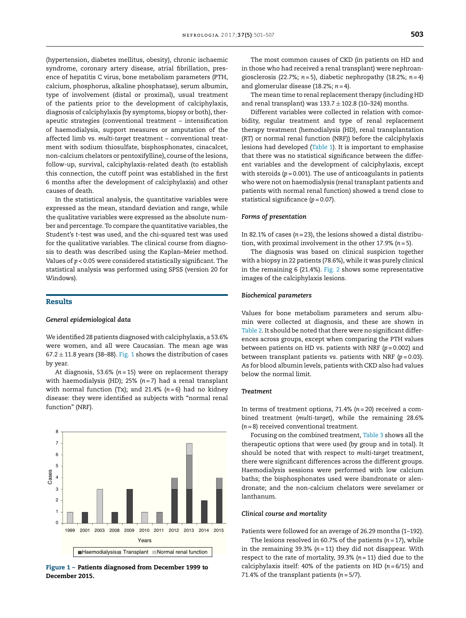(hypertension, diabetes mellitus, obesity), chronic ischaemic syndrome, coronary artery disease, atrial fibrillation, presence of hepatitis C virus, bone metabolism parameters (PTH, calcium, phosphorus, alkaline phosphatase), serum albumin, type of involvement (distal or proximal), usual treatment of the patients prior to the development of calciphylaxis, diagnosis of calciphylaxis (by symptoms, biopsy or both), therapeutic strategies (conventional treatment – intensification of haemodialysis, support measures or amputation of the affected limb vs. *multi-target* treatment – conventional treatment with sodium thiosulfate, bisphosphonates, cinacalcet, non-calcium chelators or pentoxifylline), course of the lesions, follow-up, survival, calciphylaxis-related death (to establish this connection, the cutoff point was established in the first 6 months after the development of calciphylaxis) and other causes of death.

In the statistical analysis, the quantitative variables were expressed as the mean, standard deviation and range, while the qualitative variables were expressed as the absolute number and percentage. To compare the quantitative variables, the Student's *t*-test was used, and the chi-squared test was used for the qualitative variables. The clinical course from diagnosis to death was described using the Kaplan–Meier method. Values of *p* < 0.05 were considered statistically significant. The statistical analysis was performed using SPSS (version 20 for Windows).

## Results

#### *General epidemiological data*

We identified 28 patients diagnosed with calciphylaxis, a 53.6% were women, and all were Caucasian. The mean age was  $67.2 \pm 11.8$  years (38–88). Fig. 1 shows the distribution of cases by year.

At diagnosis, 53.6% (*n* = 15) were on replacement therapy with haemodialysis (HD); 25% (*n* = 7) had a renal transplant with normal function (Tx); and 21.4% (*n* = 6) had no kidney disease: they were identified as subjects with "normal renal function" (NRF).



Figure 1 – Patients diagnosed from December 1999 to December 2015.

The most common causes of CKD (in patients on HD and in those who had received a renal transplant) were nephroangiosclerosis (22.7%; *n* = 5), diabetic nephropathy (18.2%; *n* = 4) and glomerular disease (18.2%; *n* = 4).

The mean time to renal replacement therapy (including HD and renal transplant) was  $133.7 \pm 102.8$  (10-324) months.

Different variables were collected in relation with comorbidity, regular treatment and type of renal replacement therapy treatment (hemodialysis (HD), renal transplantation (RT) or normal renal function (NRF)) before the calciphylaxis lesions had developed [\(Table](#page-3-0) 1). It is important to emphasise that there was no statistical significance between the different variables and the development of calciphylaxis, except with steroids ( $p = 0.001$ ). The use of anticoagulants in patients who were not on haemodialysis (renal transplant patients and patients with normal renal function) showed a trend close to statistical significance ( $p = 0.07$ ).

#### *Forms of presentation*

In 82.1% of cases (*n* = 23), the lesions showed a distal distribution, with proximal involvement in the other 17.9% (*n* = 5).

The diagnosis was based on clinical suspicion together with a biopsy in 22 patients (78.6%), while it was purely clinical in the remaining 6 (21.4%). [Fig.](#page-3-0) 2 shows some representative images of the calciphylaxis lesions.

#### *Biochemical parameters*

Values for bone metabolism parameters and serum albumin were collected at diagnosis, and these are shown in [Table](#page-3-0) 2. It should be noted that there were no significant differences across groups, except when comparing the PTH values between patients on HD vs. patients with NRF (*p* = 0.002) and between transplant patients vs. patients with NRF (*p* = 0.03). As for blood albumin levels, patients with CKD also had values below the normal limit.

#### *Treatment*

In terms of treatment options, 71.4% (*n* = 20) received a combined treatment (*multi-target*), while the remaining 28.6% (*n* = 8) received conventional treatment.

Focusing on the combined treatment, [Table](#page-4-0) 3 shows all the therapeutic options that were used (by group and in total). It should be noted that with respect to *multi-target* treatment, there were significant differences across the different groups. Haemodialysis sessions were performed with low calcium baths; the bisphosphonates used were ibandronate or alendronate; and the non-calcium chelators were sevelamer or lanthanum.

#### *Clinical course and mortality*

Patients were followed for an average of 26.29 months (1–192).

The lesions resolved in 60.7% of the patients (*n* = 17), while in the remaining 39.3% (*n* = 11) they did not disappear. With respect to the rate of mortality, 39.3% (*n* = 11) died due to the calciphylaxis itself: 40% of the patients on HD (*n* = 6/15) and 71.4% of the transplant patients  $(n = 5/7)$ .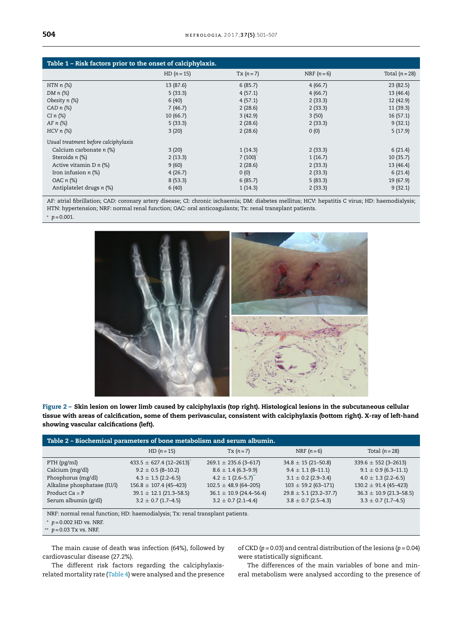<span id="page-3-0"></span>

| Table 1 – Risk factors prior to the onset of calciphylaxis. |               |           |             |                |  |
|-------------------------------------------------------------|---------------|-----------|-------------|----------------|--|
|                                                             | $HD (n = 15)$ | $Tx(n=7)$ | NRF $(n=6)$ | Total $(n=28)$ |  |
| HTN $n$ $(\%)$                                              | 13 (87.6)     | 6(85.7)   | 4(66.7)     | 23(82.5)       |  |
| DM $n$ $(\%)$                                               | 5(33.3)       | 4(57.1)   | 4(66.7)     | 13(46.4)       |  |
| Obesity n (%)                                               | 6(40)         | 4(57.1)   | 2(33.3)     | 12 (42.9)      |  |
| $CADn (\%)$                                                 | 7(46.7)       | 2(28.6)   | 2(33.3)     | 11(39.3)       |  |
| $CI n (\%)$                                                 | 10(66.7)      | 3(42.9)   | 3(50)       | 16(57.1)       |  |
| AF $n$ $(\%)$                                               | 5(33.3)       | 2(28.6)   | 2(33.3)     | 9(32.1)        |  |
| $HCV n$ (%)                                                 | 3(20)         | 2(28.6)   | 0(0)        | 5(17.9)        |  |
| Usual treatment before calciphylaxis                        |               |           |             |                |  |
| Calcium carbonate n (%)                                     | 3(20)         | 1(14.3)   | 2(33.3)     | 6(21.4)        |  |
| Steroids n (%)                                              | 2(13.3)       | 7(100)    | 1(16.7)     | 10(35.7)       |  |
| Active vitamin D $n$ (%)                                    | 9(60)         | 2(28.6)   | 2(33.3)     | 13(46.4)       |  |
| Iron infusion $n$ (%)                                       | 4(26.7)       | 0(0)      | 2(33.3)     | 6(21.4)        |  |
| OAC n (%)                                                   | 8(53.3)       | 6(85.7)   | 5(83.3)     | 19(67.9)       |  |
| Antiplatelet drugs n (%)                                    | 6(40)         | 1(14.3)   | 2(33.3)     | 9(32.1)        |  |

AF: atrial fibrillation; CAD: coronary artery disease; CI: chronic ischaemia; DM: diabetes mellitus; HCV: hepatitis C virus; HD: haemodialysis; HTN: hypertension; NRF: normal renal function; OAC: oral anticoagulants; Tx: renal transplant patients.

<sup>∗</sup> *p* = 0.001.





| Table 2 – Biochemical parameters of bone metabolism and serum albumin. |                                   |                             |                            |                             |  |
|------------------------------------------------------------------------|-----------------------------------|-----------------------------|----------------------------|-----------------------------|--|
|                                                                        | $HD (n = 15)$                     | $Tx(n=7)$                   | NRF $(n=6)$                | Total $(n=28)$              |  |
| $PTH$ (pg/ml)                                                          | $433.5 \pm 627.4 (12 - 2613)^{4}$ | $269.1 \pm 235.6$ (3-617)   | $34.8 \pm 15(21 - 50.8)$   | $339.6 \pm 552(3 - 2613)$   |  |
| Calcium (mg/dl)                                                        | $9.2 \pm 0.5$ (8-10.2)            | $8.6 \pm 1.4$ (6.3–9.9)     | $9.4 \pm 1.1$ (8-11.1)     | $9.1 \pm 0.9$ (6.3-11.1)    |  |
| Phosphorus (mg/dl)                                                     | $4.3 \pm 1.5$ (2.2–6.5)           | $4.2 \pm 1 (2.6 - 5.7)^{4}$ | $3.1 \pm 0.2$ (2.9–3.4)    | $4.0 \pm 1.3$ (2.2–6.5)     |  |
| Alkaline phosphatase (IU/l)                                            | $156.8 \pm 107.4$ (45-423)        | $102.5 \pm 48.9$ (64-205)   | $103 \pm 59.2$ (63-171)    | $130.2 \pm 91.4$ (45-423)   |  |
| Product Ca $\times$ P                                                  | $39.1 \pm 12.1$ (21.3-58.5)       | $36.1 \pm 10.9$ (24.4–56.4) | $29.8 \pm 5.1$ (23.2-37.7) | $36.3 \pm 10.9$ (21.3-58.5) |  |
| Serum albumin (g/dl)                                                   | $3.2 \pm 0.7$ (1.7–4.5)           | $3.2 \pm 0.7$ (2.1-4.4)     | $3.8 \pm 0.7$ (2.5–4.3)    | $3.3 \pm 0.7$ (1.7–4.5)     |  |

NRF: normal renal function; HD: haemodialysis; Tx: renal transplant patients.

*p* = 0.002 HD vs. NRF.

*p* = 0.03 Tx vs. NRF.

The main cause of death was infection (64%), followed by cardiovascular disease (27.2%).

of CKD ( $p = 0.03$ ) and central distribution of the lesions ( $p = 0.04$ ) were statistically significant.

The different risk factors regarding the calciphylaxisrelated mortality rate [\(Table](#page-4-0) 4) were analysed and the presence

The differences of the main variables of bone and mineral metabolism were analysed according to the presence of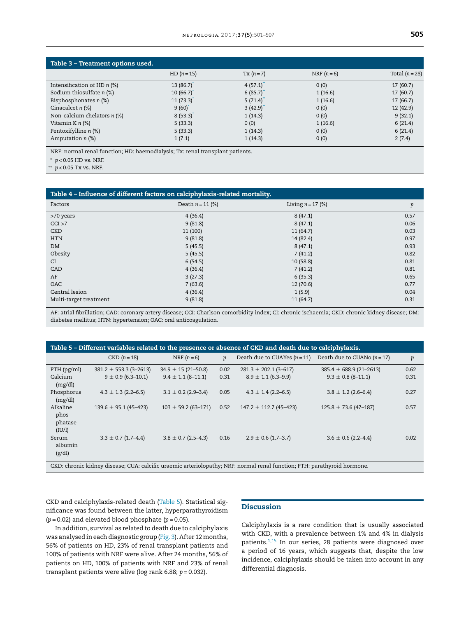<span id="page-4-0"></span>

| Table 3 - Treatment options used. |               |               |             |                |
|-----------------------------------|---------------|---------------|-------------|----------------|
|                                   | $HD (n = 15)$ | $Tx(n=7)$     | NRF $(n=6)$ | Total $(n=28)$ |
| Intensification of HD $n$ (%)     | 13(86.7)      | 4(57.1)       | 0(0)        | 17(60.7)       |
| Sodium thiosulfate n (%)          | 10(66.7)      | 6(85.7)       | 1(16.6)     | 17(60.7)       |
| Bisphosphonates n (%)             | 11(73.3)      | $5(71.4)^{4}$ | 1(16.6)     | 17(66.7)       |
| Cinacalcet $n$ (%)                | 9(60)         | 3(42.9)       | 0(0)        | 12 (42.9)      |
| Non-calcium chelators n (%)       | 8(53.3)       | 1(14.3)       | 0(0)        | 9(32.1)        |
| Vitamin K $n$ (%)                 | 5(33.3)       | 0(0)          | 1(16.6)     | 6(21.4)        |
| Pentoxifylline n (%)              | 5(33.3)       | 1(14.3)       | 0(0)        | 6(21.4)        |
| Amputation $n$ (%)                | 1(7.1)        | 1(14.3)       | 0(0)        | 2(7.4)         |

NRF: normal renal function; HD: haemodialysis; Tx: renal transplant patients.

<sup>∗</sup> *p* < 0.05 HD vs. NRF.

 $p$  < 0.05 Tx vs. NRF.

| Table 4 - Influence of different factors on calciphylaxis-related mortality. |                    |                     |      |  |  |
|------------------------------------------------------------------------------|--------------------|---------------------|------|--|--|
| Factors                                                                      | Death $n = 11$ (%) | Living $n = 17$ (%) | p    |  |  |
| >70 years                                                                    | 4(36.4)            | 8(47.1)             | 0.57 |  |  |
| CCI >7                                                                       | 9(81.8)            | 8(47.1)             | 0.06 |  |  |
| <b>CKD</b>                                                                   | 11 (100)           | 11(64.7)            | 0.03 |  |  |
| <b>HTN</b>                                                                   | 9(81.8)            | 14 (82.4)           | 0.97 |  |  |
| <b>DM</b>                                                                    | 5(45.5)            | 8(47.1)             | 0.93 |  |  |
| Obesity                                                                      | 5(45.5)            | 7(41.2)             | 0.82 |  |  |
| CI                                                                           | 6(54.5)            | 10(58.8)            | 0.81 |  |  |
| CAD                                                                          | 4(36.4)            | 7(41.2)             | 0.81 |  |  |
| AF                                                                           | 3(27.3)            | 6(35.3)             | 0.65 |  |  |
| OAC                                                                          | 7(63.6)            | 12 (70.6)           | 0.77 |  |  |
| Central lesion                                                               | 4(36.4)            | 1(5.9)              | 0.04 |  |  |
| Multi-target treatment                                                       | 9(81.8)            | 11(64.7)            | 0.31 |  |  |

AF: atrial fibrillation; CAD: coronary artery disease; CCI: Charlson comorbidity index; CI: chronic ischaemia; CKD: chronic kidney disease; DM: diabetes mellitus; HTN: hypertension; OAC: oral anticoagulation.

| Table 5 - Different variables related to the presence or absence of CKD and death due to calciphylaxis.                  |                            |                          |      |                                |                             |      |
|--------------------------------------------------------------------------------------------------------------------------|----------------------------|--------------------------|------|--------------------------------|-----------------------------|------|
|                                                                                                                          | $CKD (n=18)$               | NRF $(n=6)$              | p    | Death due to CUAYes $(n = 11)$ | Death due to CUANo $(n=17)$ | p    |
| PTH (pg/ml)                                                                                                              | $381.2 \pm 553.3$ (3-2613) | $34.9 \pm 15(21 - 50.8)$ | 0.02 | $281.3 \pm 202.1$ (3-617)      | $385.4 \pm 688.9$ (21-2613) | 0.62 |
| Calcium<br>(mg/dl)                                                                                                       | $9 \pm 0.9$ (6.3–10.1)     | $9.4 \pm 1.1$ (8-11.1)   | 0.31 | $8.9 \pm 1.1$ (6.3–9.9)        | $9.3 \pm 0.8$ (8-11.1)      | 0.31 |
| Phosphorus<br>(mg/dl)                                                                                                    | $4.3 \pm 1.3$ (2.2–6.5)    | $3.1 \pm 0.2$ (2.9-3.4)  | 0.05 | $4.3 \pm 1.4$ (2.2–6.5)        | $3.8 \pm 1.2$ (2.6–6.4)     | 0.27 |
| Alkaline<br>phos-<br>phatase<br>(IU/l)                                                                                   | $139.6 \pm 95.1$ (45-423)  | $103 \pm 59.2$ (63-171)  | 0.52 | $147.2 \pm 112.7$ (45-423)     | $125.8 \pm 73.6$ (47-187)   | 0.57 |
| Serum<br>albumin<br>(g/dl)                                                                                               | $3.3 \pm 0.7$ (1.7–4.4)    | $3.8 \pm 0.7$ (2.5–4.3)  | 0.16 | $2.9 \pm 0.6$ (1.7–3.7)        | $3.6 \pm 0.6$ (2.2–4.4)     | 0.02 |
| CKD: chronic kidney disease; CUA: calcific uraemic arteriolopathy; NRF: normal renal function; PTH: parathyroid hormone. |                            |                          |      |                                |                             |      |

CKD and calciphylaxis-related death (Table 5). Statistical significance was found between the latter, hyperparathyroidism  $(p = 0.02)$  and elevated blood phosphate  $(p = 0.05)$ .

# **Discussion**

In addition, survival as related to death due to calciphylaxis was analysed in each diagnostic group ([Fig.](#page-5-0) 3). After 12 months, 56% of patients on HD, 23% of renal transplant patients and 100% of patients with NRF were alive. After 24 months, 56% of patients on HD, 100% of patients with NRF and 23% of renal transplant patients were alive (log rank 6.88; *p* = 0.032).

Calciphylaxis is a rare condition that is usually associated with CKD, with a prevalence between 1% and 4% in dialysis patients.[1,15](#page-6-0) In our series, 28 patients were diagnosed over a period of 16 years, which suggests that, despite the low incidence, calciphylaxis should be taken into account in any differential diagnosis.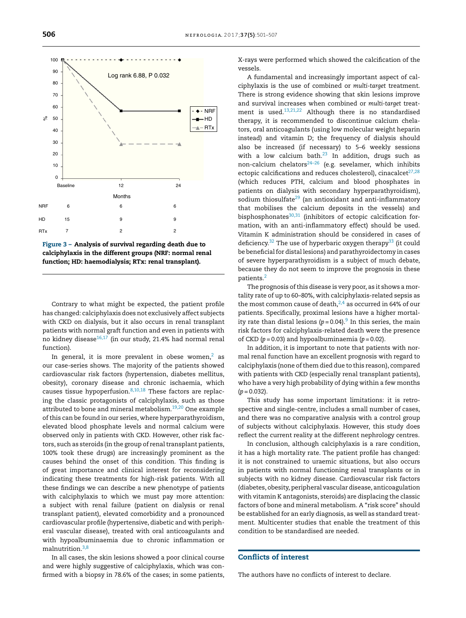<span id="page-5-0"></span>

Figure 3 – Analysis of survival regarding death due to calciphylaxis in the different groups (NRF: normal renal function; HD: haemodialysis; RTx: renal transplant).

Contrary to what might be expected, the patient profile has changed: calciphylaxis does not exclusively affect subjects with CKD on dialysis, but it also occurs in renal transplant patients with normal graft function and even in patients with no kidney disease<sup>[16,17](#page-6-0)</sup> (in our study, 21.4% had normal renal function).

In general, it is more prevalent in obese women, $2$  as our case-series shows. The majority of the patients showed cardiovascular risk factors (hypertension, diabetes mellitus, obesity), coronary disease and chronic ischaemia, which causes tissue hypoperfusion. $8,10,18$  These factors are replacing the classic protagonists of calciphylaxis, such as those attributed to bone and mineral metabolism.[19,20](#page-6-0) One example of this can be found in our series, where hyperparathyroidism, elevated blood phosphate levels and normal calcium were observed only in patients with CKD. However, other risk factors, such as steroids (in the group of renal transplant patients, 100% took these drugs) are increasingly prominent as the causes behind the onset of this condition. This finding is of great importance and clinical interest for reconsidering indicating these treatments for high-risk patients. With all these findings we can describe a new phenotype of patients with calciphylaxis to which we must pay more attention: a subject with renal failure (patient on dialysis or renal transplant patient), elevated comorbidity and a pronounced cardiovascular profile (hypertensive, diabetic and with peripheral vascular disease), treated with oral anticoagulants and with hypoalbuminaemia due to chronic inflammation or malnutrition.[3,8](#page-6-0)

In all cases, the skin lesions showed a poor clinical course and were highly suggestive of calciphylaxis, which was confirmed with a biopsy in 78.6% of the cases; in some patients, X-rays were performed which showed the calcification of the vessels.

A fundamental and increasingly important aspect of calciphylaxis is the use of combined or *multi-target* treatment. There is strong evidence showing that skin lesions improve and survival increases when combined or *multi-target* treatment is used.[13,21,22](#page-6-0) Although there is no standardised therapy, it is recommended to discontinue calcium chelators, oral anticoagulants (using low molecular weight heparin instead) and vitamin D; the frequency of dialysis should also be increased (if necessary) to 5–6 weekly sessions with a low calcium bath. $23$  In addition, drugs such as non-calcium chelators $24-26$  (e.g. sevelamer, which inhibits ectopic calcifications and reduces cholesterol), cinacalcet $27,28$ (which reduces PTH, calcium and blood phosphates in patients on dialysis with secondary hyperparathyroidism), sodium thiosulfate<sup>[29](#page-6-0)</sup> (an antioxidant and anti-inflammatory that mobilises the calcium deposits in the vessels) and bisphosphonates $30,31$  (inhibitors of ectopic calcification formation, with an anti-inflammatory effect) should be used. Vitamin K administration should be considered in cases of deficiency.<sup>[32](#page-6-0)</sup> The use of hyperbaric oxygen therapy<sup>[33](#page-6-0)</sup> (it could be beneficial for distal lesions) and parathyroidectomy in cases of severe hyperparathyroidism is a subject of much debate, because they do not seem to improve the prognosis in these patients.[2](#page-6-0)

The prognosis of this disease is very poor, as it shows a mortality rate of up to 60–80%, with calciphylaxis-related sepsis as the most common cause of death, $2,4$  as occurred in 64% of our patients. Specifically, proximal lesions have a higher mortal-ity rate than distal lesions (p=0.04).<sup>[9](#page-6-0)</sup> In this series, the main risk factors for calciphylaxis-related death were the presence of CKD  $(p = 0.03)$  and hypoalbuminaemia  $(p = 0.02)$ .

In addition, it is important to note that patients with normal renal function have an excellent prognosis with regard to calciphylaxis (none ofthem died due to this reason), compared with patients with CKD (especially renal transplant patients), who have a very high probability of dying within a few months  $(p = 0.032)$ .

This study has some important limitations: it is retrospective and single-centre, includes a small number of cases, and there was no comparative analysis with a control group of subjects without calciphylaxis. However, this study does reflect the current reality at the different nephrology centres.

In conclusion, although calciphylaxis is a rare condition, it has a high mortality rate. The patient profile has changed: it is not constrained to uraemic situations, but also occurs in patients with normal functioning renal transplants or in subjects with no kidney disease. Cardiovascular risk factors (diabetes, obesity, peripheral vascular disease, anticoagulation with vitamin K antagonists, steroids) are displacing the classic factors of bone and mineral metabolism. A "risk score" should be established for an early diagnosis, as well as standard treatment. Multicenter studies that enable the treatment of this condition to be standardised are needed.

# Conflicts of interest

The authors have no conflicts of interest to declare.